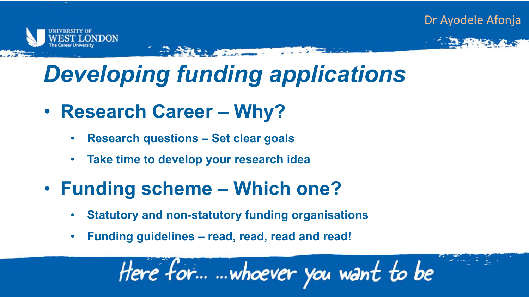

## *Developing funding applications*

- **Research Career – Why?**
	- **Research questions – Set clear goals**
	- **Take time to develop your research idea**

**CONTRACTOR** 

- **Funding scheme – Which one?**
	- **Statutory and non-statutory funding organisations**
	- **Funding guidelines – read, read, read and read!**

Here for... ... whoever you want to be

Dr Ayodele Afonja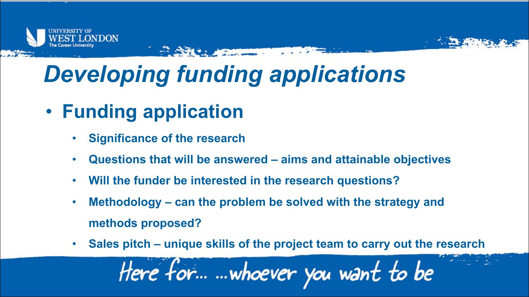

# *Developing funding applications*

**PARTIES AND REAL PROPERTY** 

- **Funding application**
	- **Significance of the research**
	- **Questions that will be answered – aims and attainable objectives**
	- **Will the funder be interested in the research questions?**
	- **Methodology – can the problem be solved with the strategy and methods proposed?**
	- **Sales pitch – unique skills of the project team to carry out the research**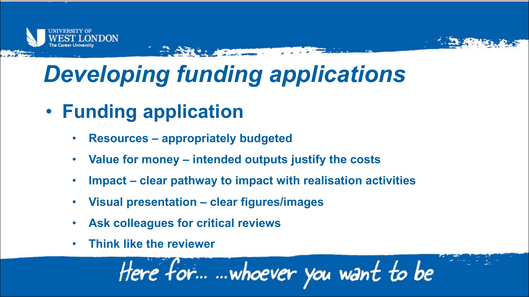

# *Developing funding applications*

**PLASTER A FRAME** 

- **Funding application**
	- **Resources – appropriately budgeted**
	- **Value for money – intended outputs justify the costs**
	- **Impact – clear pathway to impact with realisation activities**
	- **Visual presentation – clear figures/images**
	- **Ask colleagues for critical reviews**
	- **Think like the reviewer**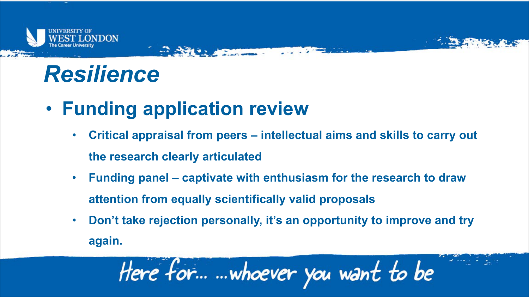

## *Resilience*

• **Funding application review**

**CONTRACTOR** 

• **Critical appraisal from peers – intellectual aims and skills to carry out the research clearly articulated**

**Pieces Alberta Company Company** 

- **Funding panel – captivate with enthusiasm for the research to draw attention from equally scientifically valid proposals**
- **Don't take rejection personally, it's an opportunity to improve and try again.**